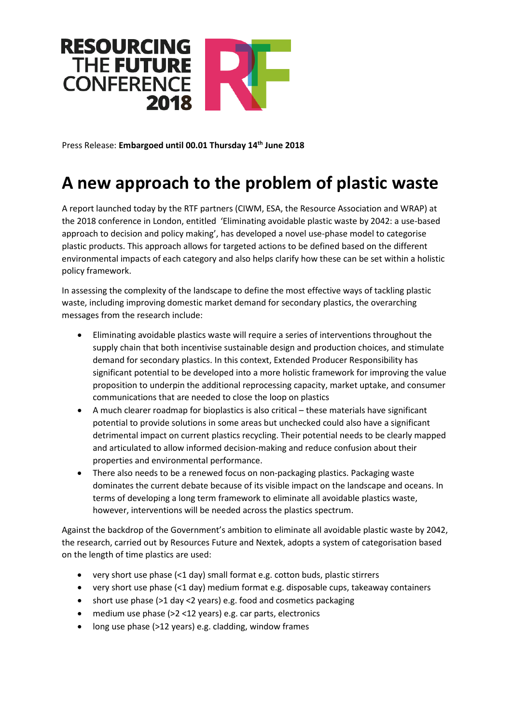

Press Release: **Embargoed until 00.01 Thursday 14th June 2018**

## **A new approach to the problem of plastic waste**

A report launched today by the RTF partners (CIWM, ESA, the Resource Association and WRAP) at the 2018 conference in London, entitled 'Eliminating avoidable plastic waste by 2042: a use-based approach to decision and policy making', has developed a novel use-phase model to categorise plastic products. This approach allows for targeted actions to be defined based on the different environmental impacts of each category and also helps clarify how these can be set within a holistic policy framework.

In assessing the complexity of the landscape to define the most effective ways of tackling plastic waste, including improving domestic market demand for secondary plastics, the overarching messages from the research include:

- Eliminating avoidable plastics waste will require a series of interventions throughout the supply chain that both incentivise sustainable design and production choices, and stimulate demand for secondary plastics. In this context, Extended Producer Responsibility has significant potential to be developed into a more holistic framework for improving the value proposition to underpin the additional reprocessing capacity, market uptake, and consumer communications that are needed to close the loop on plastics
- A much clearer roadmap for bioplastics is also critical these materials have significant potential to provide solutions in some areas but unchecked could also have a significant detrimental impact on current plastics recycling. Their potential needs to be clearly mapped and articulated to allow informed decision-making and reduce confusion about their properties and environmental performance.
- There also needs to be a renewed focus on non-packaging plastics. Packaging waste dominates the current debate because of its visible impact on the landscape and oceans. In terms of developing a long term framework to eliminate all avoidable plastics waste, however, interventions will be needed across the plastics spectrum.

Against the backdrop of the Government's ambition to eliminate all avoidable plastic waste by 2042, the research, carried out by Resources Future and Nextek, adopts a system of categorisation based on the length of time plastics are used:

- very short use phase (<1 day) small format e.g. cotton buds, plastic stirrers
- very short use phase (<1 day) medium format e.g. disposable cups, takeaway containers
- short use phase (>1 day <2 years) e.g. food and cosmetics packaging
- medium use phase (>2 <12 years) e.g. car parts, electronics
- long use phase (>12 years) e.g. cladding, window frames